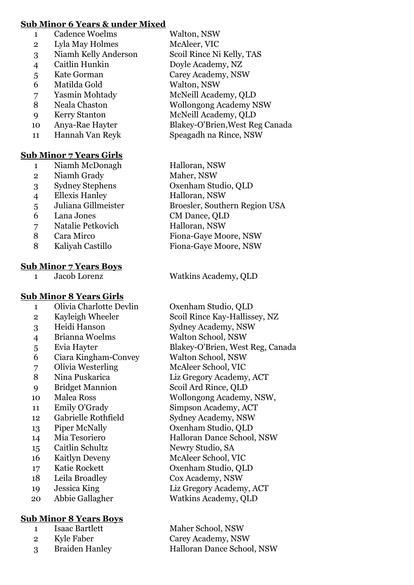### **Sub Minor 6 Years & under Mixed**

- 1 Cadence Woelms Walton, NSW
- Lyla May Holmes McAleer, VIC
- Niamh Kelly Anderson Scoil Rince Ni Kelly, TAS
- 
- 
- Matilda Gold Walton, NSW
- 
- 
- 
- 
- 

### **Sub Minor 7 Years Girls**

- 1 Niamh McDonagh Halloran, NSW
- Niamh Grady Maher, NSW
- 
- Ellexis Hanley Halloran, NSW
- 
- Lana Jones CM Dance, QLD
- Natalie Petkovich Halloran, NSW
- 
- 

#### **Sub Minor 7 Years Boys**

## **Sub Minor 8 Years Girls**

- Olivia Charlotte Devlin Oxenham Studio, QLD
- 
- 
- Brianna Woelms Walton School, NSW
- 
- Ciara Kingham-Convey Walton School, NSW
- Olivia Westerling McAleer School, VIC
- 
- Bridget Mannion Scoil Ard Rince, QLD
- 
- 
- Gabrielle Rothfield Sydney Academy, NSW
- 
- 
- Caitlin Schultz Newry Studio, SA
- Kaitlyn Deveny McAleer School, VIC
- 
- Leila Broadley Cox Academy, NSW
- 
- 

## **Sub Minor 8 Years Boys**

- Isaac Bartlett Maher School, NSW
- 
- Braiden Hanley Halloran Dance School, NSW
- Caitlin Hunkin Doyle Academy, NZ Kate Gorman Carey Academy, NSW Yasmin Mohtady McNeill Academy, QLD Neala Chaston Wollongong Academy NSW Kerry Stanton McNeill Academy, QLD Anya-Rae Hayter Blakey-O'Brien,West Reg Canada Hannah Van Reyk Speagadh na Rince, NSW
- Sydney Stephens Oxenham Studio, QLD Juliana Gillmeister Broesler, Southern Region USA 8 Cara Mirco Fiona-Gaye Moore, NSW Kaliyah Castillo Fiona-Gaye Moore, NSW

Jacob Lorenz Watkins Academy, QLD

2 Kayleigh Wheeler Scoil Rince Kay-Hallissey, NZ Heidi Hanson Sydney Academy, NSW Evia Hayter Blakey-O'Brien, West Reg, Canada Nina Puskarica Liz Gregory Academy, ACT Malea Ross Wollongong Academy, NSW, Emily O'Grady Simpson Academy, ACT Piper McNally Oxenham Studio, QLD Mia Tesoriero Halloran Dance School, NSW Katie Rockett Oxenham Studio, QLD Jessica King Liz Gregory Academy, ACT Abbie Gallagher Watkins Academy, QLD

Kyle Faber Carey Academy, NSW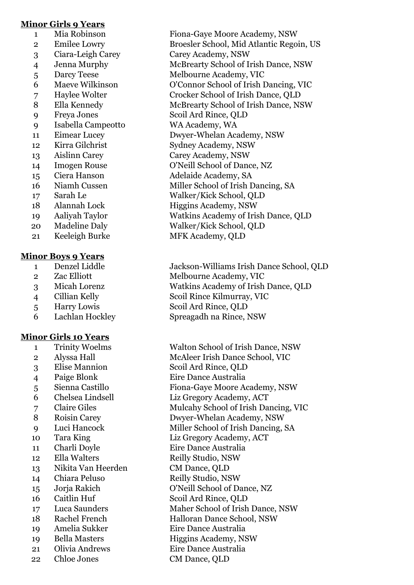### **Minor Girls 9 Years**

- 
- 
- 
- 
- 
- 
- 
- 
- 
- Isabella Campeotto WA Academy, WA
- 
- 
- 
- 
- 
- 
- 
- 
- 
- 
- Keeleigh Burke MFK Academy, QLD

### **Minor Boys 9 Years**

- 
- 
- 
- 
- 
- 

## **Minor Girls 10 Years**

- 
- 
- 
- 
- 
- 
- 
- 
- 
- 
- 
- 
- Nikita Van Heerden CM Dance, QLD
- 
- 
- 
- 
- 
- 
- 
- 
- Chloe Jones CM Dance, QLD
- Mia Robinson Fiona-Gaye Moore Academy, NSW Emilee Lowry Broesler School, Mid Atlantic Regoin, US Ciara-Leigh Carey Carey Academy, NSW Jenna Murphy McBrearty School of Irish Dance, NSW 5 Darcy Teese Melbourne Academy, VIC Maeve Wilkinson O'Connor School of Irish Dancing, VIC Haylee Wolter Crocker School of Irish Dance, QLD Ella Kennedy McBrearty School of Irish Dance, NSW Freya Jones Scoil Ard Rince, QLD Eimear Lucey Dwyer-Whelan Academy, NSW 12 Kirra Gilchrist Sydney Academy, NSW Aislinn Carey Carey Academy, NSW Imogen Rouse O'Neill School of Dance, NZ Ciera Hanson Adelaide Academy, SA 16 Niamh Cussen Miller School of Irish Dancing, SA Sarah Le Walker/Kick School, QLD 18 Alannah Lock Higgins Academy, NSW Aaliyah Taylor Watkins Academy of Irish Dance, QLD Madeline Daly Walker/Kick School, QLD
	-

 Denzel Liddle Jackson-Williams Irish Dance School, QLD 2 Zac Elliott Melbourne Academy, VIC Micah Lorenz Watkins Academy of Irish Dance, QLD Cillian Kelly Scoil Rince Kilmurray, VIC Harry Lowis Scoil Ard Rince, QLD Lachlan Hockley Spreagadh na Rince, NSW

 Trinity Woelms Walton School of Irish Dance, NSW Alyssa Hall McAleer Irish Dance School, VIC Elise Mannion Scoil Ard Rince, QLD Paige Blonk Eire Dance Australia Sienna Castillo Fiona-Gaye Moore Academy, NSW Chelsea Lindsell Liz Gregory Academy, ACT Claire Giles Mulcahy School of Irish Dancing, VIC Roisin Carey Dwyer-Whelan Academy, NSW Luci Hancock Miller School of Irish Dancing, SA Tara King Liz Gregory Academy, ACT Charli Doyle Eire Dance Australia 12 Ella Walters Reilly Studio, NSW 14 Chiara Peluso Reilly Studio, NSW Jorja Rakich O'Neill School of Dance, NZ 16 Caitlin Huf Scoil Ard Rince, OLD Luca Saunders Maher School of Irish Dance, NSW 18 Rachel French Halloran Dance School, NSW Amelia Sukker Eire Dance Australia 19 Bella Masters Higgins Academy, NSW Olivia Andrews Eire Dance Australia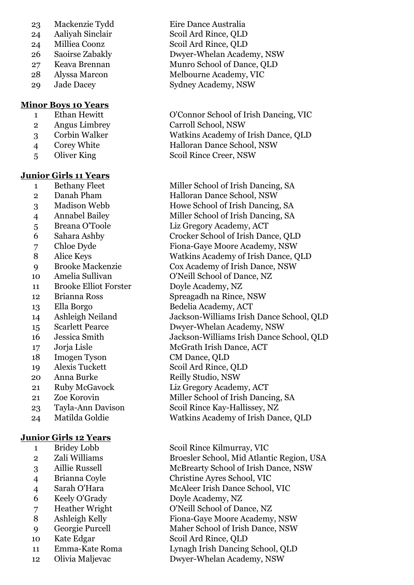- Mackenzie Tydd Eire Dance Australia
- 
- 
- 
- 
- 
- 

### **Minor Boys 10 Years**

- 
- 
- 
- 
- 

### **Junior Girls 11 Years**

- 
- 
- 
- 
- 
- 
- 
- 
- 
- 
- Brooke Elliot Forster Doyle Academy, NZ
- 
- 
- 
- 
- 
- 
- Imogen Tyson CM Dance, QLD
- 
- 
- 
- 
- 
- 

## **Junior Girls 12 Years**

- 
- 
- 
- 
- 
- 
- 
- 
- 
- 
- 
- Olivia Maljevac Dwyer-Whelan Academy, NSW

 Aaliyah Sinclair Scoil Ard Rince, QLD Milliea Coonz Scoil Ard Rince, QLD Saoirse Zabakly Dwyer-Whelan Academy, NSW Keava Brennan Munro School of Dance, QLD Alyssa Marcon Melbourne Academy, VIC 29 Jade Dacey Sydney Academy, NSW

 Ethan Hewitt O'Connor School of Irish Dancing, VIC Angus Limbrey Carroll School, NSW Corbin Walker Watkins Academy of Irish Dance, QLD Corey White Halloran Dance School, NSW 5 Oliver King Scoil Rince Creer, NSW

1 Bethany Fleet Miller School of Irish Dancing, SA 2 Danah Pham Halloran Dance School, NSW Madison Webb Howe School of Irish Dancing, SA Annabel Bailey Miller School of Irish Dancing, SA Breana O'Toole Liz Gregory Academy, ACT Sahara Ashby Crocker School of Irish Dance, QLD Chloe Dyde Fiona-Gaye Moore Academy, NSW Alice Keys Watkins Academy of Irish Dance, QLD Brooke Mackenzie Cox Academy of Irish Dance, NSW Amelia Sullivan O'Neill School of Dance, NZ Brianna Ross Spreagadh na Rince, NSW Ella Borgo Bedelia Academy, ACT Ashleigh Neiland Jackson-Williams Irish Dance School, QLD Scarlett Pearce Dwyer-Whelan Academy, NSW Jessica Smith Jackson-Williams Irish Dance School, QLD Jorja Lisle McGrath Irish Dance, ACT Alexis Tuckett Scoil Ard Rince, QLD 20 Anna Burke Reilly Studio, NSW Ruby McGavock Liz Gregory Academy, ACT 21 Zoe Korovin Miller School of Irish Dancing, SA Tayla-Ann Davison Scoil Rince Kay-Hallissey, NZ Matilda Goldie Watkins Academy of Irish Dance, QLD

 Bridey Lobb Scoil Rince Kilmurray, VIC Zali Williams Broesler School, Mid Atlantic Region, USA Aillie Russell McBrearty School of Irish Dance, NSW Brianna Coyle Christine Ayres School, VIC Sarah O'Hara McAleer Irish Dance School, VIC Keely O'Grady Doyle Academy, NZ Heather Wright O'Neill School of Dance, NZ Ashleigh Kelly Fiona-Gaye Moore Academy, NSW Georgie Purcell Maher School of Irish Dance, NSW Kate Edgar Scoil Ard Rince, QLD Emma-Kate Roma Lynagh Irish Dancing School, QLD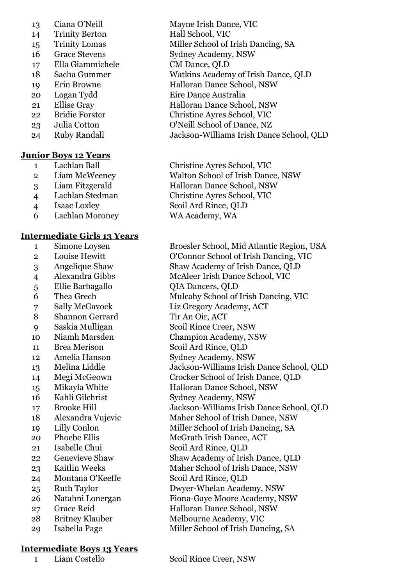- 
- 14 Trinity Berton Hall School, VIC
- 15 Trinity Lomas Miller School of Irish Dancing, SA
- 
- Ella Giammichele CM Dance, QLD
- 
- 
- 
- 
- 
- 
- 

## **Junior Boys 12 Years**

- 
- 
- 
- 
- 
- Lachlan Moroney WA Academy, WA

# **Intermediate Girls 13 Years**

- 
- 
- 
- 
- 
- 
- 
- 8 Shannon Gerrard Tir An Oir, ACT
- 
- 
- 
- 
- 
- 
- 
- 
- 
- 
- 
- 
- 
- 
- 
- 
- 
- 
- 
- 
- 

## **Intermediate Boys 13 Years**

Ciana O'Neill Mayne Irish Dance, VIC

- 
- 16 Grace Stevens Sydney Academy, NSW
	-
- Sacha Gummer Watkins Academy of Irish Dance, QLD
- 19 Erin Browne Halloran Dance School, NSW
- Logan Tydd Eire Dance Australia
- Ellise Gray Halloran Dance School, NSW
- Bridie Forster Christine Ayres School, VIC
- Julia Cotton O'Neill School of Dance, NZ

Ruby Randall Jackson-Williams Irish Dance School, QLD

 Lachlan Ball Christine Ayres School, VIC Liam McWeeney Walton School of Irish Dance, NSW Liam Fitzgerald Halloran Dance School, NSW Lachlan Stedman Christine Ayres School, VIC Isaac Loxley Scoil Ard Rince, QLD

 Simone Loysen Broesler School, Mid Atlantic Region, USA Louise Hewitt O'Connor School of Irish Dancing, VIC Angelique Shaw Shaw Academy of Irish Dance, QLD Alexandra Gibbs McAleer Irish Dance School, VIC Ellie Barbagallo QIA Dancers, QLD Thea Grech Mulcahy School of Irish Dancing, VIC Sally McGavock Liz Gregory Academy, ACT Saskia Mulligan Scoil Rince Creer, NSW Niamh Marsden Champion Academy, NSW Brea Merison Scoil Ard Rince, QLD Amelia Hanson Sydney Academy, NSW Melina Liddle Jackson-Williams Irish Dance School, QLD Megi McGeown Crocker School of Irish Dance, QLD Mikayla White Halloran Dance School, NSW 16 Kahli Gilchrist Sydney Academy, NSW Brooke Hill Jackson-Williams Irish Dance School, QLD Alexandra Vujevic Maher School of Irish Dance, NSW 19 Lilly Conlon Miller School of Irish Dancing, SA 20 Phoebe Ellis McGrath Irish Dance, ACT Isabelle Chui Scoil Ard Rince, QLD Genevieve Shaw Shaw Academy of Irish Dance, QLD 23 Kaitlin Weeks Maher School of Irish Dance, NSW Montana O'Keeffe Scoil Ard Rince, QLD Ruth Taylor Dwyer-Whelan Academy, NSW Natahni Lonergan Fiona-Gaye Moore Academy, NSW Grace Reid Halloran Dance School, NSW 28 Britney Klauber Melbourne Academy, VIC Isabella Page Miller School of Irish Dancing, SA

Liam Costello Scoil Rince Creer, NSW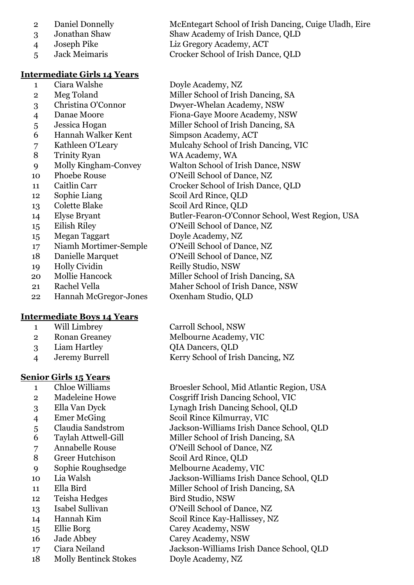- Daniel Donnelly McEntegart School of Irish Dancing, Cuige Uladh, Eire Jonathan Shaw Shaw Academy of Irish Dance, QLD Joseph Pike Liz Gregory Academy, ACT
- 

#### **Intermediate Girls 14 Years**

- Ciara Walshe Doyle Academy, NZ
- 2 Meg Toland Miller School of Irish Dancing, SA
- Christina O'Connor Dwyer-Whelan Academy, NSW
- Danae Moore Fiona-Gaye Moore Academy, NSW
- Jessica Hogan Miller School of Irish Dancing, SA
- Hannah Walker Kent Simpson Academy, ACT
- 7 Kathleen O'Leary Mulcahy School of Irish Dancing, VIC
- Trinity Ryan WA Academy, WA
- Molly Kingham-Convey Walton School of Irish Dance, NSW
- 10 Phoebe Rouse O'Neill School of Dance, NZ
- Caitlin Carr Crocker School of Irish Dance, QLD
- Sophie Liang Scoil Ard Rince, QLD
- Colette Blake Scoil Ard Rince, QLD
- Elyse Bryant Butler-Fearon-O'Connor School, West Region, USA
- Eilish Riley O'Neill School of Dance, NZ
- Megan Taggart Doyle Academy, NZ
- Niamh Mortimer-Semple O'Neill School of Dance, NZ
- 18 Danielle Marquet O'Neill School of Dance, NZ
- 19 Holly Cividin Reilly Studio, NSW
- 20 Mollie Hancock Miller School of Irish Dancing, SA
- Rachel Vella Maher School of Irish Dance, NSW
- Hannah McGregor-Jones Oxenham Studio, QLD

## **Intermediate Boys 14 Years**

- 
- 
- 
- 

## **Senior Girls 15 Years**

- 
- 
- 
- 
- 
- 
- 
- 
- 
- 
- 
- 12 Teisha Hedges Bird Studio, NSW
- 
- 
- 
- 
- 
- Molly Bentinck Stokes Doyle Academy, NZ

Jack Meimaris Crocker School of Irish Dance, QLD

 Will Limbrey Carroll School, NSW Ronan Greaney Melbourne Academy, VIC Liam Hartley QIA Dancers, QLD Jeremy Burrell Kerry School of Irish Dancing, NZ

 Chloe Williams Broesler School, Mid Atlantic Region, USA Madeleine Howe Cosgriff Irish Dancing School, VIC Ella Van Dyck Lynagh Irish Dancing School, QLD Emer McGing Scoil Rince Kilmurray, VIC Claudia Sandstrom Jackson-Williams Irish Dance School, QLD Taylah Attwell-Gill Miller School of Irish Dancing, SA Annabelle Rouse O'Neill School of Dance, NZ Greer Hutchison Scoil Ard Rince, QLD Sophie Roughsedge Melbourne Academy, VIC Lia Walsh Jackson-Williams Irish Dance School, QLD 11 Ella Bird Miller School of Irish Dancing, SA Isabel Sullivan O'Neill School of Dance, NZ Hannah Kim Scoil Rince Kay-Hallissey, NZ Ellie Borg Carey Academy, NSW Jade Abbey Carey Academy, NSW Ciara Neiland Jackson-Williams Irish Dance School, QLD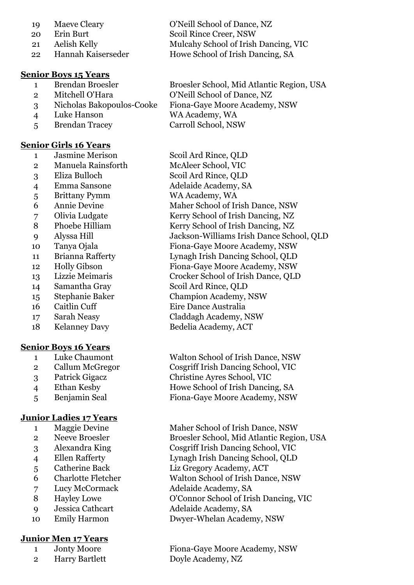| 19 | Maeve Cleary       | O'Neill School of Dance, NZ          |
|----|--------------------|--------------------------------------|
| 20 | Erin Burt          | Scoil Rince Creer, NSW               |
| 21 | Aelish Kelly       | Mulcahy School of Irish Dancing, VIC |
| 22 | Hannah Kaiserseder | Howe School of Irish Dancing, SA     |

#### **Senior Boys 15 Years**

- 
- 
- 
- Luke Hanson WA Academy, WA
- Brendan Tracey Carroll School, NSW

#### **Senior Girls 16 Years**

- Jasmine Merison Scoil Ard Rince, QLD
- Manuela Rainsforth McAleer School, VIC
- 
- 
- Brittany Pymm WA Academy, WA
- 
- 
- 
- 
- 
- 
- 
- 
- 
- 
- 
- 
- 

#### **Senior Boys 16 Years**

- 
- 
- 
- 
- 

#### **Junior Ladies 17 Years**

- 
- 
- 
- 
- 
- 
- 
- 
- 
- 

#### **Junior Men 17 Years**

- 
- 2 Harry Bartlett Doyle Academy, NZ

 Brendan Broesler Broesler School, Mid Atlantic Region, USA Mitchell O'Hara O'Neill School of Dance, NZ Nicholas Bakopoulos-Cooke Fiona-Gaye Moore Academy, NSW

 Eliza Bulloch Scoil Ard Rince, QLD Emma Sansone Adelaide Academy, SA Annie Devine Maher School of Irish Dance, NSW Olivia Ludgate Kerry School of Irish Dancing, NZ 8 Phoebe Hilliam Kerry School of Irish Dancing, NZ Alyssa Hill Jackson-Williams Irish Dance School, QLD Tanya Ojala Fiona-Gaye Moore Academy, NSW Brianna Rafferty Lynagh Irish Dancing School, QLD Holly Gibson Fiona-Gaye Moore Academy, NSW Lizzie Meimaris Crocker School of Irish Dance, QLD Samantha Gray Scoil Ard Rince, QLD Stephanie Baker Champion Academy, NSW 16 Caitlin Cuff Eire Dance Australia Sarah Neasy Claddagh Academy, NSW Kelanney Davy Bedelia Academy, ACT

 Luke Chaumont Walton School of Irish Dance, NSW Callum McGregor Cosgriff Irish Dancing School, VIC Patrick Gigacz Christine Ayres School, VIC Ethan Kesby Howe School of Irish Dancing, SA Benjamin Seal Fiona-Gaye Moore Academy, NSW

1 Maggie Devine Maher School of Irish Dance, NSW Neeve Broesler Broesler School, Mid Atlantic Region, USA Alexandra King Cosgriff Irish Dancing School, VIC Ellen Rafferty Lynagh Irish Dancing School, QLD Catherine Back Liz Gregory Academy, ACT Charlotte Fletcher Walton School of Irish Dance, NSW Lucy McCormack Adelaide Academy, SA Hayley Lowe O'Connor School of Irish Dancing, VIC Jessica Cathcart Adelaide Academy, SA Emily Harmon Dwyer-Whelan Academy, NSW

Jonty Moore Fiona-Gaye Moore Academy, NSW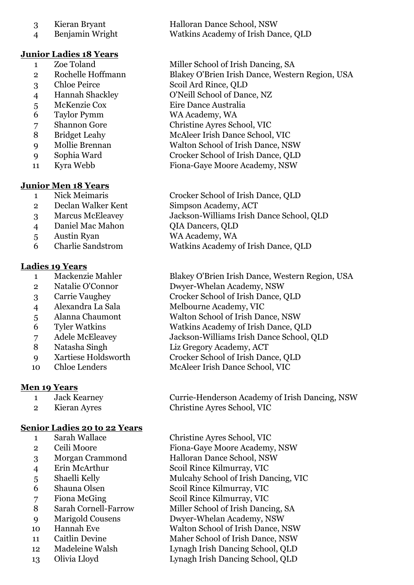- 
- 

## **Junior Ladies 18 Years**

- 
- 
- 
- 
- 
- Taylor Pymm WA Academy, WA
- 
- 
- 
- 
- 

## **Junior Men 18 Years**

- 
- Declan Walker Kent Simpson Academy, ACT
- 
- 4 Daniel Mac Mahon QIA Dancers, OLD
- Austin Ryan WA Academy, WA
- Charlie Sandstrom Watkins Academy of Irish Dance, QLD

## **Ladies 19 Years**

- 
- 
- 
- 
- 
- 
- 
- 
- 
- 

# **Men 19 Years**

- 
- 

## **Senior Ladies 20 to 22 Years**

- 
- 
- 
- 
- 
- 
- 
- 
- 
- 
- 
- 
- Olivia Lloyd Lynagh Irish Dancing School, QLD

3 Kieran Bryant Halloran Dance School, NSW Benjamin Wright Watkins Academy of Irish Dance, QLD

1 Zoe Toland Miller School of Irish Dancing, SA Rochelle Hoffmann Blakey O'Brien Irish Dance, Western Region, USA Chloe Peirce Scoil Ard Rince, QLD Hannah Shackley O'Neill School of Dance, NZ McKenzie Cox Eire Dance Australia Shannon Gore Christine Ayres School, VIC Bridget Leahy McAleer Irish Dance School, VIC Mollie Brennan Walton School of Irish Dance, NSW Sophia Ward Crocker School of Irish Dance, QLD Kyra Webb Fiona-Gaye Moore Academy, NSW

 Nick Meimaris Crocker School of Irish Dance, QLD Marcus McEleavey Jackson-Williams Irish Dance School, QLD

 Mackenzie Mahler Blakey O'Brien Irish Dance, Western Region, USA Natalie O'Connor Dwyer-Whelan Academy, NSW Carrie Vaughey Crocker School of Irish Dance, QLD Alexandra La Sala Melbourne Academy, VIC Alanna Chaumont Walton School of Irish Dance, NSW Tyler Watkins Watkins Academy of Irish Dance, QLD Adele McEleavey Jackson-Williams Irish Dance School, QLD Natasha Singh Liz Gregory Academy, ACT Xartiese Holdsworth Crocker School of Irish Dance, QLD Chloe Lenders McAleer Irish Dance School, VIC

 Jack Kearney Currie-Henderson Academy of Irish Dancing, NSW Kieran Ayres Christine Ayres School, VIC

 Sarah Wallace Christine Ayres School, VIC Ceili Moore Fiona-Gaye Moore Academy, NSW Morgan Crammond Halloran Dance School, NSW Erin McArthur Scoil Rince Kilmurray, VIC 5 Shaelli Kelly Mulcahy School of Irish Dancing, VIC Shauna Olsen Scoil Rince Kilmurray, VIC 7 Fiona McGing Scoil Rince Kilmurray, VIC Sarah Cornell-Farrow Miller School of Irish Dancing, SA Marigold Cousens Dwyer-Whelan Academy, NSW Hannah Eve Walton School of Irish Dance, NSW Caitlin Devine Maher School of Irish Dance, NSW Madeleine Walsh Lynagh Irish Dancing School, QLD